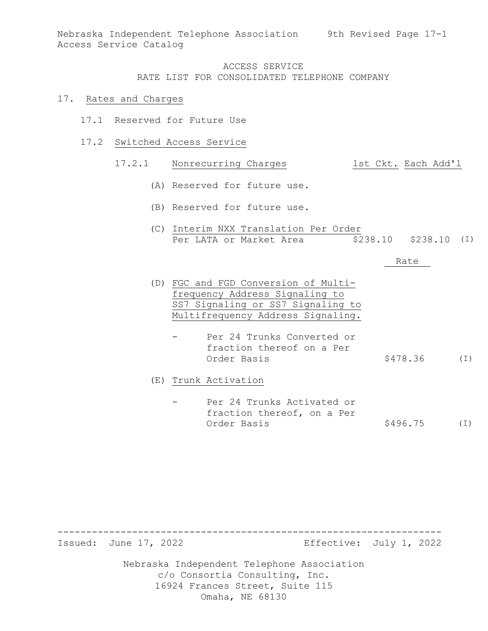Nebraska Independent Telephone Association 9th Revised Page 17-1 Access Service Catalog

## ACCESS SERVICE RATE LIST FOR CONSOLIDATED TELEPHONE COMPANY

#### 17. Rates and Charges

- 17.1 Reserved for Future Use
- 17.2 Switched Access Service

# 17.2.1 Nonrecurring Charges 1st Ckt. Each Add'l

- (A) Reserved for future use.
- (B) Reserved for future use.
- (C) Interim NXX Translation Per Order Per LATA or Market Area (5238.10 \$238.10 (I)

#### Rate

- (D) FGC and FGD Conversion of Multifrequency Address Signaling to SS7 Signaling or SS7 Signaling to Multifrequency Address Signaling.
	- Per 24 Trunks Converted or fraction thereof on a Per Order Basis  $$478.36$  (I)

(E) Trunk Activation

Per 24 Trunks Activated or fraction thereof, on a Per Order Basis  $$496.75$  (I)

------------------------------------------------------------------- Effective: July 1, 2022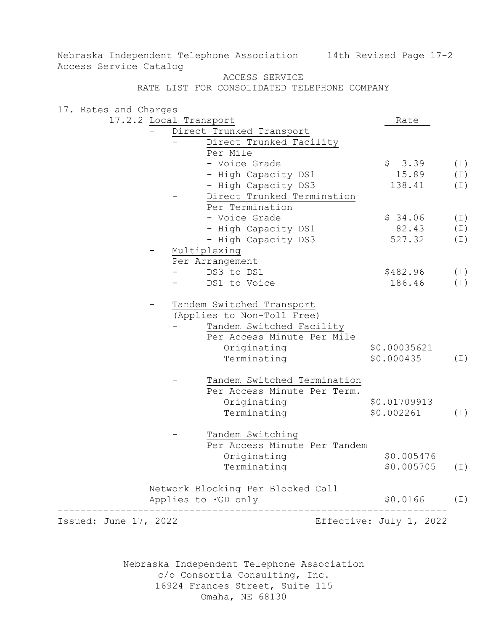Nebraska Independent Telephone Association 14th Revised Page 17-2 Access Service Catalog

ACCESS SERVICE

RATE LIST FOR CONSOLIDATED TELEPHONE COMPANY

17. Rates and Charges 17.2.2 Local Transport Rate - Direct Trunked Transport Direct Trunked Facility Per Mile - Voice Grade \$ 3.39 - High Capacity DS1 15.89 - High Capacity DS3 Direct Trunked Termination Per Termination - Voice Grade  $\frac{1}{2}$  \$ 34.06 - High Capacity DS1 82.43<br>- High Capacity DS3 527.32 - High Capacity DS3 Multiplexing Per Arrangement  $-$  DS3 to DS1  $$482.96$ - DS1 to Voice 186.46 Tandem Switched Transport (Applies to Non-Toll Free) Tandem Switched Facility Per Access Minute Per Mile Originating \$0.00035621 Terminating Tandem Switched Termination Per Access Minute Per Term. Originating \$0.01709913 Terminating \$0.002261 (I) Tandem Switching Per Access Minute Per Tandem Originating \$0.005476 Terminating Network Blocking Per Blocked Call Applies to FGD only -------------------------------------------------------------------- Effective: July 1, 2022  $$3.39$  (I) (I) (I) (I) (I) (I) (I) (I)  $$0.000435$  (I) \$0.005705 (I) \$0.0166 (I)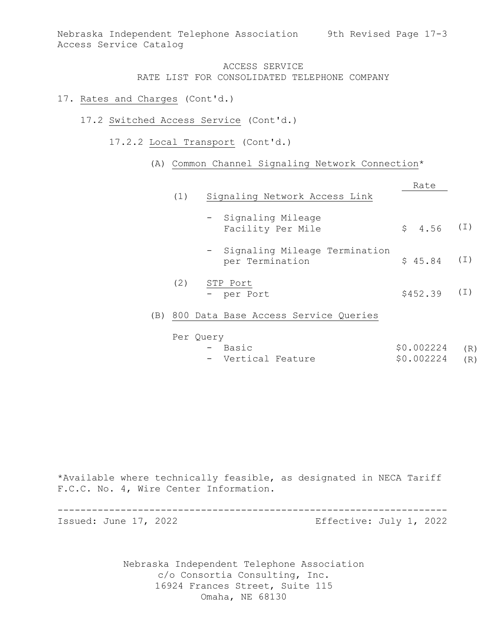Nebraska Independent Telephone Association 9th Revised Page 17-3 Access Service Catalog

# ACCESS SERVICE RATE LIST FOR CONSOLIDATED TELEPHONE COMPANY

### 17. Rates and Charges (Cont'd.)

- 17.2 Switched Access Service (Cont'd.)
	- 17.2.2 Local Transport (Cont'd.)

## (A) Common Channel Signaling Network Connection\*

| (1) | Signaling Network Access Link                      | Rate        |          |
|-----|----------------------------------------------------|-------------|----------|
|     | - Signaling Mileage<br>Facility Per Mile           | $$4.56$ (I) |          |
|     | - Signaling Mileage Termination<br>per Termination | \$45.84     | $(\bot)$ |
| (2) | STP Port<br>- per Port                             | \$452.39    | (I)      |
|     | 800 Data Base Access Service Oueries               |             |          |

(B) 800 Data Base Access Service Queries

| Per Query |                    |                |  |  |  |  |
|-----------|--------------------|----------------|--|--|--|--|
|           | - Basic            | \$0.002224 (R) |  |  |  |  |
|           | - Vertical Feature | \$0.002224 (R) |  |  |  |  |

\*Available where technically feasible, as designated in NECA Tariff F.C.C. No. 4, Wire Center Information.

--------------------------------------------------------------------

Effective: July 1, 2022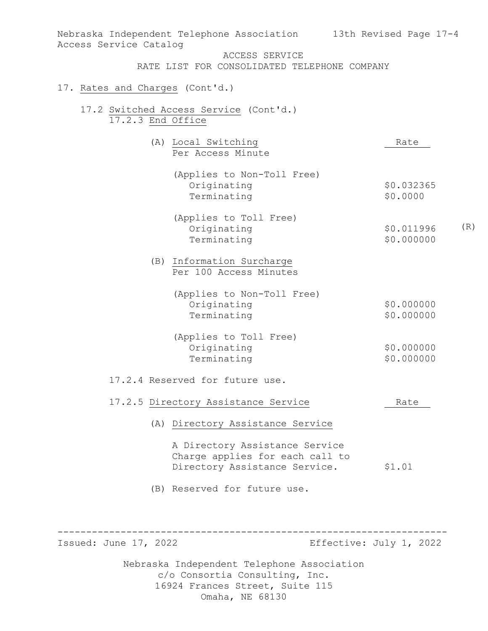| Access Service Catalog          | Nebraska Independent Telephone Association 13th Revised Page 17-4                                  |                                 |
|---------------------------------|----------------------------------------------------------------------------------------------------|---------------------------------|
|                                 | ACCESS SERVICE                                                                                     |                                 |
|                                 | RATE LIST FOR CONSOLIDATED TELEPHONE COMPANY                                                       |                                 |
| 17. Rates and Charges (Cont'd.) |                                                                                                    |                                 |
|                                 | 17.2 Switched Access Service (Cont'd.)<br>17.2.3 End Office                                        |                                 |
|                                 | (A) Local Switching<br>Per Access Minute                                                           | Rate                            |
|                                 | (Applies to Non-Toll Free)<br>Originating<br>Terminating                                           | \$0.032365<br>\$0.0000          |
|                                 | (Applies to Toll Free)<br>Originating<br>Terminating                                               | (R)<br>\$0.011996<br>\$0.000000 |
|                                 | (B) Information Surcharge<br>Per 100 Access Minutes                                                |                                 |
|                                 | (Applies to Non-Toll Free)<br>Originating<br>Terminating                                           | \$0.000000<br>\$0.000000        |
|                                 | (Applies to Toll Free)<br>Originating<br>Terminating                                               | \$0.000000<br>\$0.000000        |
|                                 | 17.2.4 Reserved for future use.                                                                    |                                 |
|                                 | 17.2.5 Directory Assistance Service                                                                | Rate                            |
|                                 | (A) Directory Assistance Service                                                                   |                                 |
|                                 | A Directory Assistance Service<br>Charge applies for each call to<br>Directory Assistance Service. | \$1.01                          |
|                                 | (B) Reserved for future use.                                                                       |                                 |

-------------------------------------------------------------------- Effective: July 1, 2022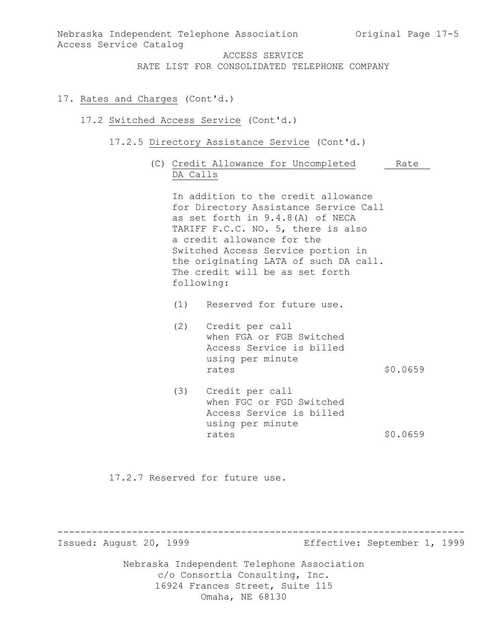Nebraska Independent Telephone Association Original Page 17-5 Access Service Catalog ACCESS SERVICE RATE LIST FOR CONSOLIDATED TELEPHONE COMPANY 17. Rates and Charges (Cont'd.) 17.2 Switched Access Service (Cont'd.) 17.2.5 Directory Assistance Service (Cont'd.) (C) Credit Allowance for Uncompleted Rate DA Calls In addition to the credit allowance for Directory Assistance Service Call as set forth in 9.4.8(A) of NECA TARIFF F.C.C. NO. 5, there is also a credit allowance for the Switched Access Service portion in the originating LATA of such DA call. The credit will be as set forth following: (1) Reserved for future use. (2) Credit per call when FGA or FGB Switched Access Service is billed using per minute<br>rates rates \$0.0659 (3) Credit per call when FGC or FGD Switched Access Service is billed using per minute rates \$0.0659 17.2.7 Reserved for future use.

----------------------------------------------------------------------- Effective: September 1, 1999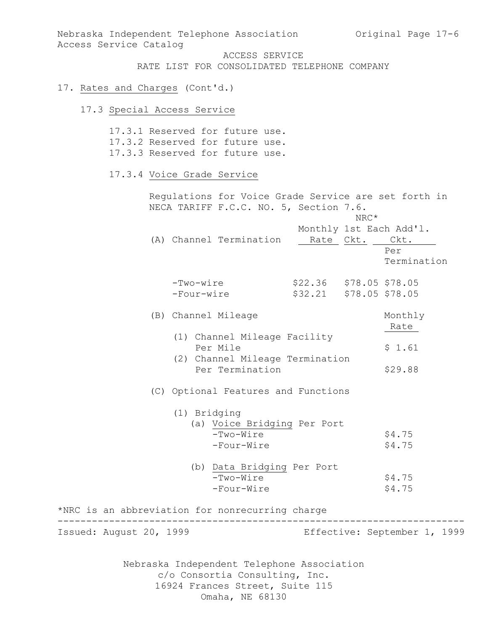Nebraska Independent Telephone Association Original Page 17-6 Access Service Catalog

ACCESS SERVICE

RATE LIST FOR CONSOLIDATED TELEPHONE COMPANY

### 17. Rates and Charges (Cont'd.)

### 17.3 Special Access Service

17.3.1 Reserved for future use. 17.3.2 Reserved for future use. 17.3.3 Reserved for future use. 17.3.4 Voice Grade Service Regulations for Voice Grade Service are set forth in NECA TARIFF F.C.C. NO. 5, Section 7.6. NRC\* Monthly 1st Each Add'l. (A) Channel Termination Rate Ckt. Ckt. Per Termination -Two-wire \$22.36 \$78.05 \$78.05  $$32.21$   $$78.05$   $$78.05$ (B) Channel Mileage Monthly Rate (1) Channel Mileage Facility Per Mile  $$1.61$  (2) Channel Mileage Termination Per Termination \$29.88 (C) Optional Features and Functions (1) Bridging (a) Voice Bridging Per Port -Two-Wire \$4.75<br>-Four-Wire \$4.75  $-Four-Wire$  (b) Data Bridging Per Port  $-Two-Wire$  \$4.75  $-Four-Wire$   $$4.75$ \*NRC is an abbreviation for nonrecurring charge ----------------------------------------------------------------------- Effective: September 1, 1999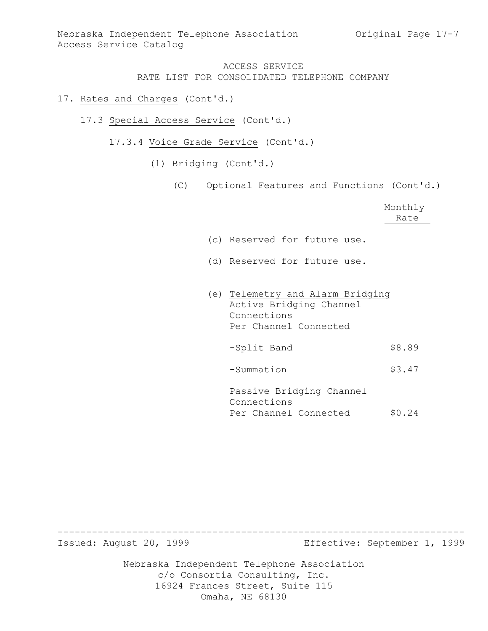- 17. Rates and Charges (Cont'd.)
	- 17.3 Special Access Service (Cont'd.)
		- 17.3.4 Voice Grade Service (Cont'd.)
			- (1) Bridging (Cont'd.)
				- (C) Optional Features and Functions (Cont'd.)

|                                  | Monthly<br>Rate |
|----------------------------------|-----------------|
|                                  |                 |
| (c) Reserved for future use.     |                 |
| (d) Reserved for future use.     |                 |
|                                  |                 |
|                                  |                 |
| (e) Telemetry and Alarm Bridging |                 |
| Active Bridging Channel          |                 |
| Connections                      |                 |
| Per Channel Connected            |                 |
|                                  |                 |
| -Split Band                      | \$8.89          |
|                                  |                 |
| -Summation                       | \$3.47          |
|                                  |                 |
|                                  |                 |
| Passive Bridging Channel         |                 |
| Connections                      |                 |
| Per Channel Connected            | \$0.24          |

----------------------------------------------------------------------- Effective: September 1, 1999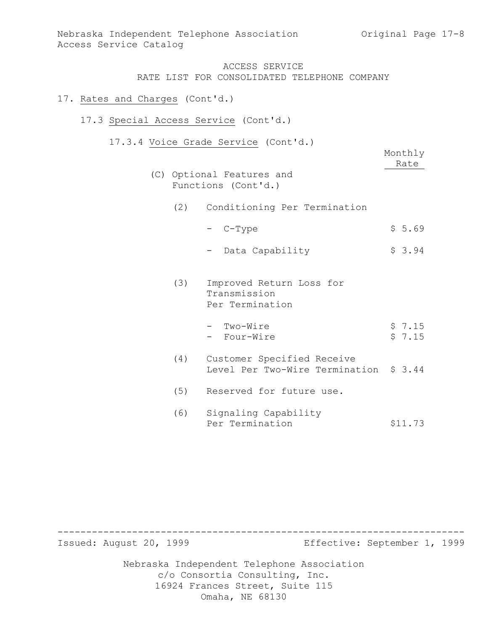## 17. Rates and Charges (Cont'd.)

## 17.3 Special Access Service (Cont'd.)

17.3.4 Voice Grade Service (Cont'd.)

|     | $200$ $0100$ $001$ $001$<br>(C) Optional Features and<br>Functions (Cont'd.) | Monthly<br>Rate  |
|-----|------------------------------------------------------------------------------|------------------|
|     | (2) Conditioning Per Termination                                             |                  |
|     | - C-Type                                                                     | \$5.69           |
|     | Data Capability                                                              | \$3.94           |
| (3) | Improved Return Loss for<br>Transmission<br>Per Termination                  |                  |
|     | - Two-Wire<br>- Four-Wire                                                    | \$7.15<br>\$7.15 |
| (4) | Customer Specified Receive<br>Level Per Two-Wire Termination \$ 3.44         |                  |
| (5) | Reserved for future use.                                                     |                  |
| (6) | Signaling Capability<br>Per Termination                                      | \$11.73          |

----------------------------------------------------------------------- Effective: September 1, 1999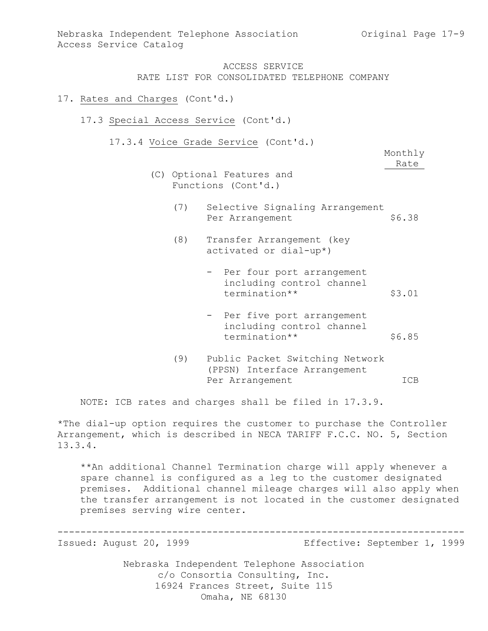### 17. Rates and Charges (Cont'd.)

- 17.3 Special Access Service (Cont'd.)
	- 17.3.4 Voice Grade Service (Cont'd.)

Monthly Rate

- (C) Optional Features and Functions (Cont'd.)
	- (7) Selective Signaling Arrangement<br>Per Arrangement \$6.38 Per Arrangement
	- (8) Transfer Arrangement (key activated or dial-up\*)
		- Per four port arrangement including control channel termination\*\* \$3.01
		- Per five port arrangement including control channel termination\*\* \$6.85
	- (9) Public Packet Switching Network (PPSN) Interface Arrangement Per Arrangement ICB

NOTE: ICB rates and charges shall be filed in 17.3.9.

\*The dial-up option requires the customer to purchase the Controller Arrangement, which is described in NECA TARIFF F.C.C. NO. 5, Section 13.3.4.

\*\*An additional Channel Termination charge will apply whenever a spare channel is configured as a leg to the customer designated premises. Additional channel mileage charges will also apply when the transfer arrangement is not located in the customer designated premises serving wire center.

----------------------------------------------------------------------- Effective: September 1, 1999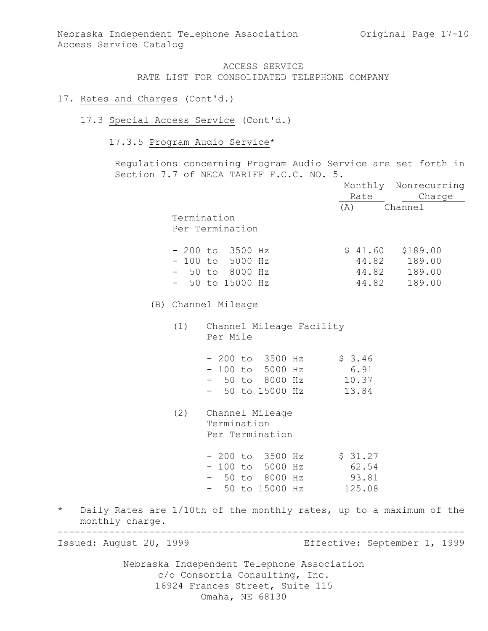- 17. Rates and Charges (Cont'd.)
	- 17.3 Special Access Service (Cont'd.)
		- 17.3.5 Program Audio Service\*

Regulations concerning Program Audio Service are set forth in Section 7.7 of NECA TARIFF F.C.C. NO. 5.

|         |                         |     |                                                                     |         | Monthly Nonrecurring         |
|---------|-------------------------|-----|---------------------------------------------------------------------|---------|------------------------------|
|         |                         |     |                                                                     | Rate    | Charge                       |
|         |                         |     |                                                                     | (A)     | Channel                      |
|         |                         |     | Termination                                                         |         |                              |
|         |                         |     | Per Termination                                                     |         |                              |
|         |                         |     | $-200$ to $3500$ Hz                                                 | \$41.60 | \$189.00                     |
|         |                         |     | $-100$ to 5000 Hz                                                   |         | 44.82 189.00                 |
|         |                         |     | $-50$ to 8000 Hz                                                    | 44.82   | 189.00                       |
|         |                         |     | $-50$ to 15000 Hz                                                   | 44.82   | 189.00                       |
|         |                         |     | (B) Channel Mileage                                                 |         |                              |
|         |                         | (1) | Channel Mileage Facility<br>Per Mile                                |         |                              |
|         |                         |     | - 200 to 3500 Hz                                                    | \$3.46  |                              |
|         |                         |     | - 100 to 5000 Hz                                                    | 6.91    |                              |
|         |                         |     | - 50 to 8000 Hz 10.37                                               |         |                              |
|         |                         |     | - 50 to 15000 Hz                                                    | 13.84   |                              |
|         |                         | (2) | Channel Mileage                                                     |         |                              |
|         |                         |     | Termination                                                         |         |                              |
|         |                         |     | Per Termination                                                     |         |                              |
|         |                         |     |                                                                     |         |                              |
|         |                         |     | $-200$ to 3500 Hz $\frac{27}{100}$                                  |         |                              |
|         |                         |     | - 100 to 5000 Hz                                                    | 62.54   |                              |
|         |                         |     | - 50 to 8000 Hz                                                     | 93.81   |                              |
|         |                         |     | - 50 to 15000 Hz                                                    | 125.08  |                              |
| $\star$ | monthly charge.         |     | Daily Rates are 1/10th of the monthly rates, up to a maximum of the |         |                              |
|         | Issued: August 20, 1999 |     |                                                                     |         | Effective: September 1, 1999 |
|         |                         |     | Nebraska Independent Telephone Association                          |         |                              |
|         |                         |     | c/o Consortia Consulting, Inc.                                      |         |                              |

16924 Frances Street, Suite 115

Omaha, NE 68130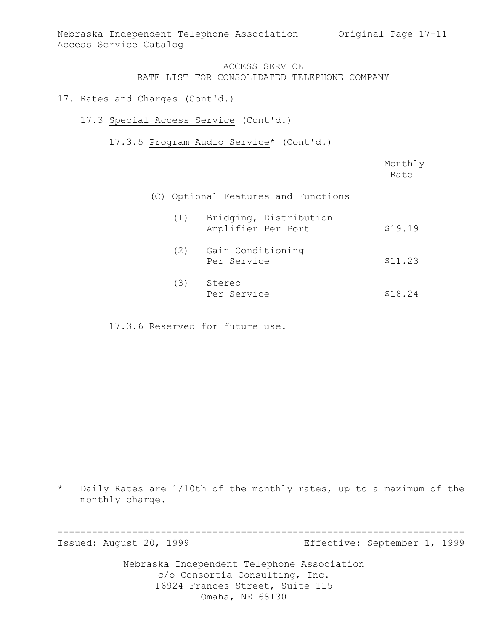- 17. Rates and Charges (Cont'd.)
	- 17.3 Special Access Service (Cont'd.)

17.3.5 Program Audio Service\* (Cont'd.)

|     |                                              | Monthly<br>Rate |
|-----|----------------------------------------------|-----------------|
|     | (C) Optional Features and Functions          |                 |
| (1) | Bridging, Distribution<br>Amplifier Per Port | \$19.19         |
| (2) | Gain Conditioning<br>Per Service             | \$11.23         |
| (3) | Stereo<br>Per Service                        | \$18.24         |

17.3.6 Reserved for future use.

\* Daily Rates are 1/10th of the monthly rates, up to a maximum of the monthly charge.

----------------------------------------------------------------------- Effective: September 1, 1999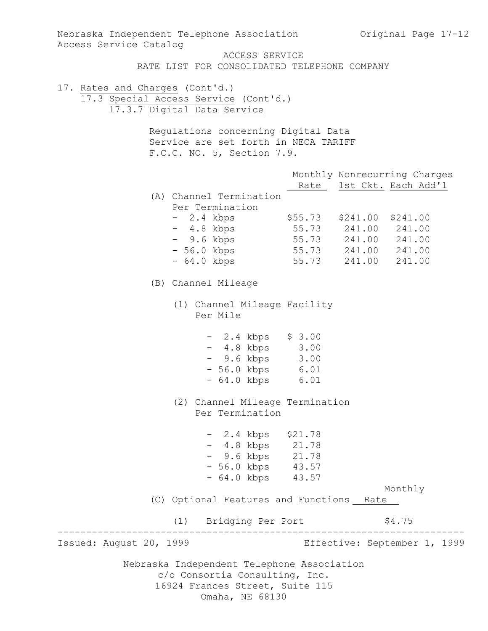Nebraska Independent Telephone Association c/o Consortia Consulting, Inc. 16924 Frances Street, Suite 115 Omaha, NE 68130 Nebraska Independent Telephone Association Original Page 17-12 Access Service Catalog ACCESS SERVICE RATE LIST FOR CONSOLIDATED TELEPHONE COMPANY 17. Rates and Charges (Cont'd.) 17.3 Special Access Service (Cont'd.) 17.3.7 Digital Data Service Regulations concerning Digital Data Service are set forth in NECA TARIFF F.C.C. NO. 5, Section 7.9. Monthly Nonrecurring Charges Rate 1st Ckt. Each Add'l (A) Channel Termination Per Termination - 2.4 kbps \$55.73 \$241.00 \$241.00 - 4.8 kbps 55.73 241.00 241.00 - 9.6 kbps 55.73 241.00 241.00 - 56.0 kbps 55.73 241.00 241.00 - 64.0 kbps 55.73 241.00 241.00 (B) Channel Mileage (1) Channel Mileage Facility Per Mile - 2.4 kbps \$ 3.00 - 4.8 kbps 3.00 - 9.6 kbps 3.00 - 56.0 kbps 6.01 - 64.0 kbps 6.01 (2) Channel Mileage Termination Per Termination - 2.4 kbps \$21.78 - 4.8 kbps 21.78 - 9.6 kbps 21.78 - 56.0 kbps 43.57 - 64.0 kbps 43.57 Monthly (C) Optional Features and Functions Rate (1) Bridging Per Port \$4.75 ----------------------------------------------------------------------- Effective: September 1, 1999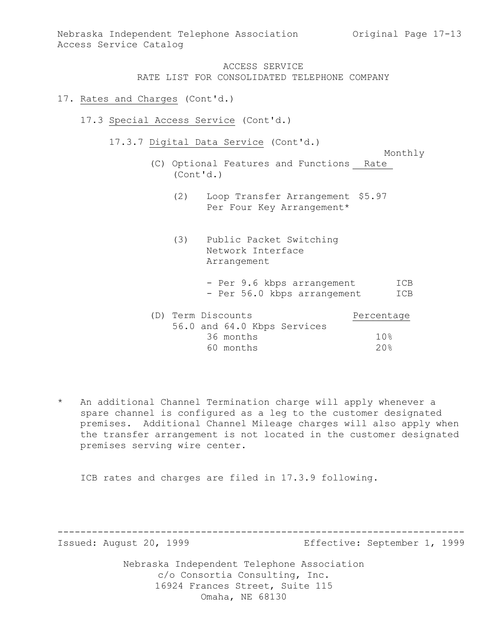## 17. Rates and Charges (Cont'd.)

- 17.3 Special Access Service (Cont'd.)
	- 17.3.7 Digital Data Service (Cont'd.)

Monthly

- (C) Optional Features and Functions Rate (Cont'd.)
	- (2) Loop Transfer Arrangement \$5.97 Per Four Key Arrangement\*
	- (3) Public Packet Switching Network Interface Arrangement
		- Per 9.6 kbps arrangement ICB - Per 56.0 kbps arrangement ICB

| (D) Term Discounts |           |                             | Percentage |
|--------------------|-----------|-----------------------------|------------|
|                    |           | 56.0 and 64.0 Kbps Services |            |
|                    | 36 months |                             | 10%        |
|                    | 60 months |                             | 20%        |

\* An additional Channel Termination charge will apply whenever a spare channel is configured as a leg to the customer designated premises. Additional Channel Mileage charges will also apply when the transfer arrangement is not located in the customer designated premises serving wire center.

ICB rates and charges are filed in 17.3.9 following.

----------------------------------------------------------------------- Effective: September 1, 1999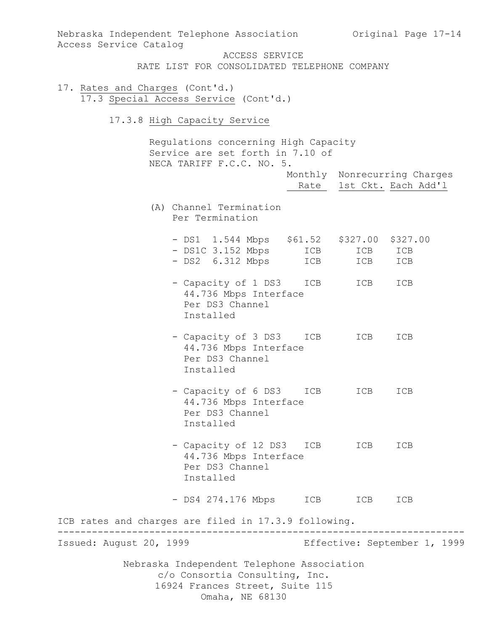Nebraska Independent Telephone Association c/o Consortia Consulting, Inc. 16924 Frances Street, Suite 115 Omaha, NE 68130 Nebraska Independent Telephone Association Original Page 17-14 Access Service Catalog ACCESS SERVICE RATE LIST FOR CONSOLIDATED TELEPHONE COMPANY 17. Rates and Charges (Cont'd.) 17.3 Special Access Service (Cont'd.) 17.3.8 High Capacity Service Regulations concerning High Capacity Service are set forth in 7.10 of NECA TARIFF F.C.C. NO. 5. Monthly Nonrecurring Charges Rate 1st Ckt. Each Add'l (A) Channel Termination Per Termination - DS1 1.544 Mbps \$61.52 \$327.00 \$327.00 - DS1C 3.152 Mbps ICB ICB ICB - DS2 6.312 Mbps ICB ICB ICB - Capacity of 1 DS3 ICB ICB ICB 44.736 Mbps Interface Per DS3 Channel Installed - Capacity of 3 DS3 ICB ICB ICB 44.736 Mbps Interface Per DS3 Channel Installed - Capacity of 6 DS3 ICB ICB ICB 44.736 Mbps Interface Per DS3 Channel Installed - Capacity of 12 DS3 ICB ICB ICB 44.736 Mbps Interface Per DS3 Channel Installed - DS4 274.176 Mbps ICB ICB ICB ICB rates and charges are filed in 17.3.9 following. ----------------------------------------------------------------------- Effective: September 1, 1999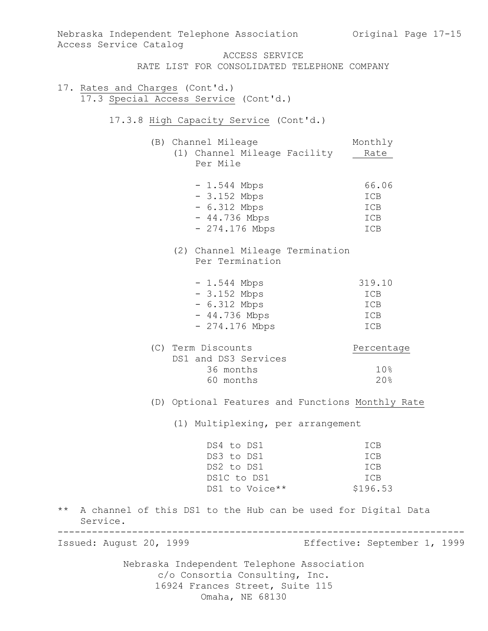| Access Service Catalog          |                                                                                                                                    | Nebraska Independent Telephone Association 60 Original Page 17-15 |
|---------------------------------|------------------------------------------------------------------------------------------------------------------------------------|-------------------------------------------------------------------|
|                                 | ACCESS SERVICE<br>RATE LIST FOR CONSOLIDATED TELEPHONE COMPANY                                                                     |                                                                   |
| 17. Rates and Charges (Cont'd.) | 17.3 Special Access Service (Cont'd.)                                                                                              |                                                                   |
|                                 | 17.3.8 High Capacity Service (Cont'd.)                                                                                             |                                                                   |
|                                 | (B) Channel Mileage<br>(1) Channel Mileage Facility<br>Per Mile                                                                    | Monthly<br>Rate                                                   |
|                                 | $-1.544$ Mbps<br>$-3.152$ Mbps<br>$-6.312$ Mbps<br>$-44.736$ Mbps<br>- 274.176 Mbps                                                | 66.06<br>ICB<br>ICB<br>ICB<br>ICB                                 |
|                                 | (2) Channel Mileage Termination<br>Per Termination                                                                                 |                                                                   |
|                                 | $-1.544$ Mbps<br>$-3.152$ Mbps<br>$-6.312$ Mbps<br>$-44.736$ Mbps<br>$-274.176$ Mbps                                               | 319.10<br>ICB<br>ICB<br>ICB<br>ICB                                |
|                                 | (C) Term Discounts<br>DS1 and DS3 Services<br>36 months<br>60 months                                                               | Percentage<br>10%<br>20%                                          |
|                                 |                                                                                                                                    | (D) Optional Features and Functions Monthly Rate                  |
|                                 | (1) Multiplexing, per arrangement                                                                                                  |                                                                   |
|                                 | DS4 to DS1<br>DS3 to DS1<br>DS2 to DS1<br>DS1C to DS1<br>DS1 to Voice**                                                            | ICB<br>ICB<br>ICB<br>ICB<br>\$196.53                              |
| Service.                        |                                                                                                                                    | ** A channel of this DS1 to the Hub can be used for Digital Data  |
| Issued: August 20, 1999         | ----------------------------------                                                                                                 | Effective: September 1, 1999                                      |
|                                 | Nebraska Independent Telephone Association<br>c/o Consortia Consulting, Inc.<br>16924 Frances Street, Suite 115<br>Omaha, NE 68130 |                                                                   |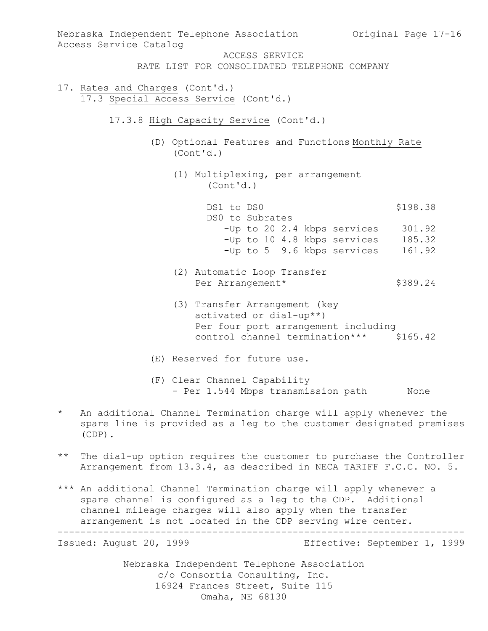Nebraska Independent Telephone Association Original Page 17-16 Access Service Catalog ACCESS SERVICE RATE LIST FOR CONSOLIDATED TELEPHONE COMPANY 17. Rates and Charges (Cont'd.) 17.3 Special Access Service (Cont'd.) 17.3.8 High Capacity Service (Cont'd.) (D) Optional Features and Functions Monthly Rate (Cont'd.) (1) Multiplexing, per arrangement (Cont'd.) DS1 to DS0 \$198.38 DS0 to Subrates -Up to 20 2.4 kbps services 301.92 -Up to 10 4.8 kbps services 185.32 -Up to 5 9.6 kbps services 161.92 (2) Automatic Loop Transfer Per Arrangement\* \$389.24 (3) Transfer Arrangement (key activated or dial-up\*\*) Per four port arrangement including control channel termination\*\*\* \$165.42 (E) Reserved for future use. (F) Clear Channel Capability - Per 1.544 Mbps transmission path None An additional Channel Termination charge will apply whenever the spare line is provided as a leg to the customer designated premises (CDP). \*\* The dial-up option requires the customer to purchase the Controller Arrangement from 13.3.4, as described in NECA TARIFF F.C.C. NO. 5.

\*\*\* An additional Channel Termination charge will apply whenever a spare channel is configured as a leg to the CDP. Additional channel mileage charges will also apply when the transfer arrangement is not located in the CDP serving wire center.

----------------------------------------------------------------------- Effective: September 1, 1999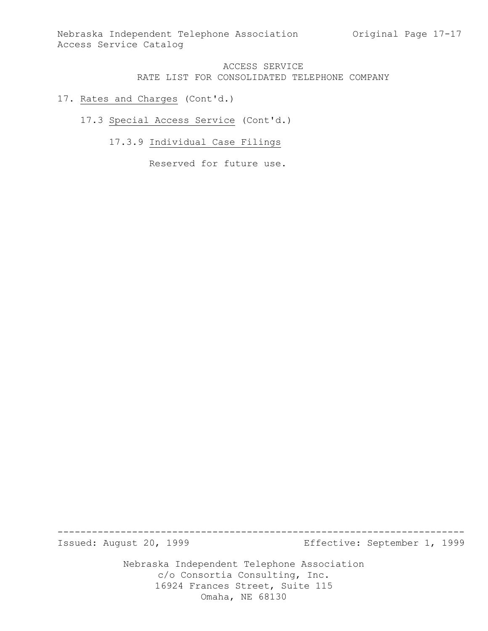- 17. Rates and Charges (Cont'd.)
	- 17.3 Special Access Service (Cont'd.)
		- 17.3.9 Individual Case Filings

Reserved for future use.

----------------------------------------------------------------------- Effective: September 1, 1999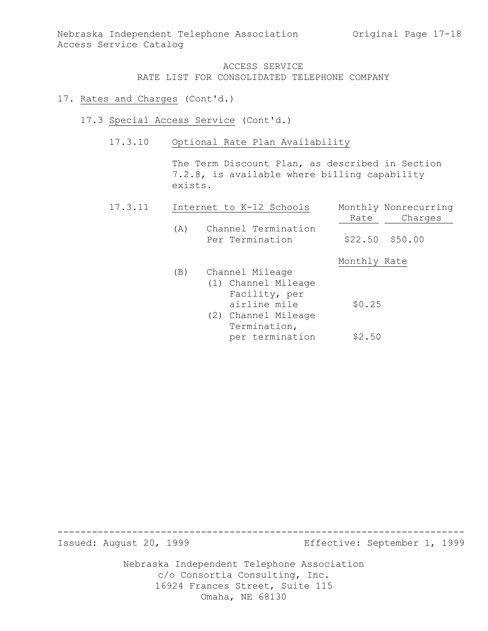## 17. Rates and Charges (Cont'd.)

- 17.3 Special Access Service (Cont'd.)
	- 17.3.10 Optional Rate Plan Availability

The Term Discount Plan, as described in Section 7.2.8, is available where billing capability exists.

| 17.3.11 | Internet to K-12 Schools |                                        | Monthly Nonrecurring |         |
|---------|--------------------------|----------------------------------------|----------------------|---------|
|         |                          |                                        | Rate                 | Charges |
|         | (A)                      | Channel Termination<br>Per Termination | $$22.50$ $$50.00$    |         |
|         |                          |                                        | Monthly Rate         |         |
|         | (B)                      | Channel Mileage                        |                      |         |
|         |                          | (1) Channel Mileage                    |                      |         |
|         |                          | Facility, per                          |                      |         |
|         |                          | airline mile                           | \$0.25               |         |
|         |                          | (2) Channel Mileage                    |                      |         |
|         |                          | Termination,                           |                      |         |
|         |                          | per termination                        | \$2.50               |         |

----------------------------------------------------------------------- Effective: September 1, 1999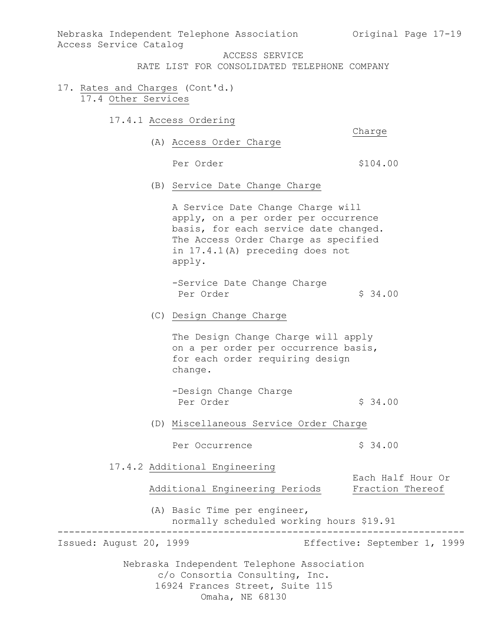Nebraska Independent Telephone Association (Original Page 17-19) Access Service Catalog

ACCESS SERVICE

RATE LIST FOR CONSOLIDATED TELEPHONE COMPANY

- 17. Rates and Charges (Cont'd.) 17.4 Other Services
	- 17.4.1 Access Ordering

Charge

(A) Access Order Charge

Per Order  $$104.00$ 

(B) Service Date Change Charge

A Service Date Change Charge will apply, on a per order per occurrence basis, for each service date changed. The Access Order Charge as specified in 17.4.1(A) preceding does not apply.

- -Service Date Change Charge Per Order  $$34.00$
- (C) Design Change Charge

The Design Change Charge will apply on a per order per occurrence basis, for each order requiring design change.

- -Design Change Charge Per Order  $\frac{1}{2}$  34.00
- (D) Miscellaneous Service Order Charge

Per Occurrence  $\frac{1}{2}$  \$ 34.00

17.4.2 Additional Engineering

Additional Engineering Periods Fraction Thereof

(A) Basic Time per engineer, normally scheduled working hours \$19.91

----------------------------------------------------------------------- Effective: September 1, 1999

Each Half Hour Or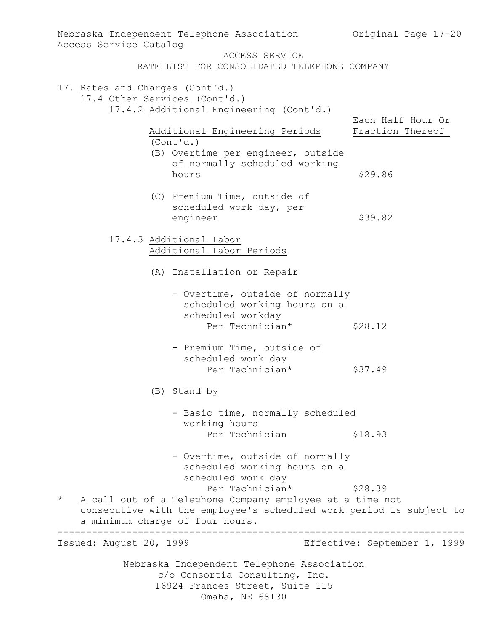| Nebraska Independent Telephone Association<br>Access Service Catalog                                                                                                                             | Original Page 17-20                   |
|--------------------------------------------------------------------------------------------------------------------------------------------------------------------------------------------------|---------------------------------------|
| ACCESS SERVICE<br>RATE LIST FOR CONSOLIDATED TELEPHONE COMPANY                                                                                                                                   |                                       |
| 17. Rates and Charges (Cont'd.)<br>17.4 Other Services (Cont'd.)<br>17.4.2 Additional Engineering (Cont'd.)                                                                                      |                                       |
| Additional Engineering Periods<br>(Cont'd.)                                                                                                                                                      | Each Half Hour Or<br>Fraction Thereof |
| (B) Overtime per engineer, outside<br>of normally scheduled working<br>hours                                                                                                                     | \$29.86                               |
| (C) Premium Time, outside of<br>scheduled work day, per<br>engineer                                                                                                                              | \$39.82                               |
| 17.4.3 Additional Labor<br>Additional Labor Periods                                                                                                                                              |                                       |
| (A) Installation or Repair                                                                                                                                                                       |                                       |
| - Overtime, outside of normally<br>scheduled working hours on a<br>scheduled workday                                                                                                             |                                       |
| Per Technician*                                                                                                                                                                                  | \$28.12                               |
| - Premium Time, outside of<br>scheduled work day<br>Per Technician*                                                                                                                              | \$37.49                               |
| (B) Stand by                                                                                                                                                                                     |                                       |
| - Basic time, normally scheduled<br>working hours<br>Per Technician                                                                                                                              | \$18.93                               |
| - Overtime, outside of normally<br>scheduled working hours on a<br>scheduled work day                                                                                                            |                                       |
| Per Technician*<br>$\star$<br>A call out of a Telephone Company employee at a time not<br>consecutive with the employee's scheduled work period is subject to<br>a minimum charge of four hours. | \$28.39                               |
| Issued: August 20, 1999                                                                                                                                                                          | Effective: September 1, 1999          |
| Nebraska Independent Telephone Association<br>c/o Consortia Consulting, Inc.<br>16924 Frances Street, Suite 115                                                                                  |                                       |
| Omaha, NE 68130                                                                                                                                                                                  |                                       |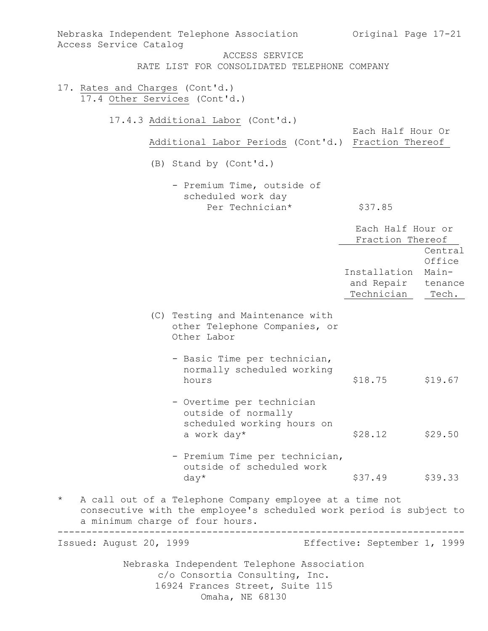| Nebraska Independent Telephone Association<br>Access Service Catalog                                                                                                          | Original Page 17-21                                                                        |  |  |  |
|-------------------------------------------------------------------------------------------------------------------------------------------------------------------------------|--------------------------------------------------------------------------------------------|--|--|--|
| ACCESS SERVICE                                                                                                                                                                |                                                                                            |  |  |  |
| RATE LIST FOR CONSOLIDATED TELEPHONE COMPANY                                                                                                                                  |                                                                                            |  |  |  |
| 17. Rates and Charges (Cont'd.)<br>17.4 Other Services (Cont'd.)                                                                                                              |                                                                                            |  |  |  |
| 17.4.3 Additional Labor (Cont'd.)<br>Additional Labor Periods (Cont'd.) Fraction Thereof                                                                                      | Each Half Hour Or                                                                          |  |  |  |
| (B) Stand by (Cont'd.)                                                                                                                                                        |                                                                                            |  |  |  |
| - Premium Time, outside of<br>scheduled work day<br>Per Technician*                                                                                                           | \$37.85                                                                                    |  |  |  |
|                                                                                                                                                                               | Each Half Hour or<br>Fraction Thereof                                                      |  |  |  |
|                                                                                                                                                                               | Central<br>Office<br>Installation<br>Main-<br>and Repair<br>tenance<br>Technician<br>Tech. |  |  |  |
| (C) Testing and Maintenance with<br>other Telephone Companies, or<br>Other Labor                                                                                              |                                                                                            |  |  |  |
| - Basic Time per technician,<br>normally scheduled working<br>hours                                                                                                           | \$18.75<br>\$19.67                                                                         |  |  |  |
| - Overtime per technician<br>outside of normally<br>scheduled working hours on<br>a work day*                                                                                 | \$28.12<br>\$29.50                                                                         |  |  |  |
| - Premium Time per technician,<br>outside of scheduled work<br>$day*$                                                                                                         | \$37.49 \$39.33                                                                            |  |  |  |
| A call out of a Telephone Company employee at a time not<br>$\star$<br>consecutive with the employee's scheduled work period is subject to<br>a minimum charge of four hours. |                                                                                            |  |  |  |
| Issued: August 20, 1999                                                                                                                                                       | Effective: September 1, 1999                                                               |  |  |  |
| Nebraska Independent Telephone Association<br>c/o Consortia Consulting, Inc.<br>16924 Frances Street, Suite 115<br>Omaha, NE 68130                                            |                                                                                            |  |  |  |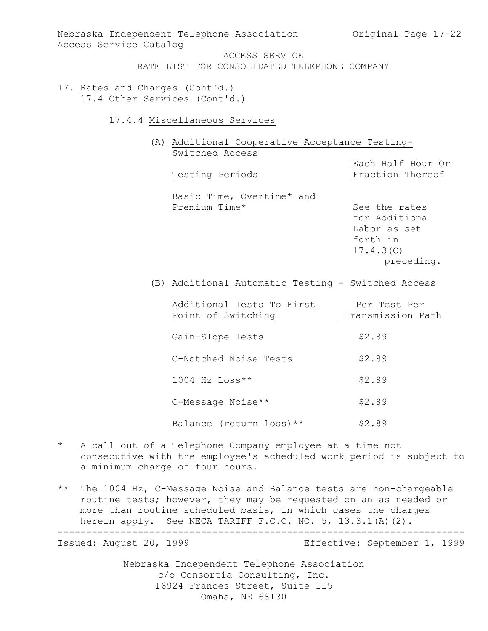Nebraska Independent Telephone Association (Original Page 17-22) Access Service Catalog

ACCESS SERVICE

- RATE LIST FOR CONSOLIDATED TELEPHONE COMPANY
- 17. Rates and Charges (Cont'd.) 17.4 Other Services (Cont'd.)
	- 17.4.4 Miscellaneous Services
		- (A) Additional Cooperative Acceptance Testing-Switched Access

Testing Periods

Each Half Hour Or

Basic Time, Overtime\* and<br>Premium Time\*

See the rates for Additional Labor as set forth in 17.4.3(C) preceding.

(B) Additional Automatic Testing - Switched Access

| Additional Tests To First<br>Point of Switching | Per Test Per<br>Transmission Path |
|-------------------------------------------------|-----------------------------------|
| Gain-Slope Tests                                | \$2.89                            |
| C-Notched Noise Tests                           | \$2.89                            |
| $1004$ Hz Loss**                                | \$2.89                            |
| C-Message Noise**                               | \$2.89                            |
| Balance (return loss) $**$                      | \$2.89                            |

- \* A call out of a Telephone Company employee at a time not consecutive with the employee's scheduled work period is subject to a minimum charge of four hours.
- \*\* The 1004 Hz, C-Message Noise and Balance tests are non-chargeable routine tests; however, they may be requested on an as needed or more than routine scheduled basis, in which cases the charges herein apply. See NECA TARIFF F.C.C. NO. 5, 13.3.1(A)(2).

----------------------------------------------------------------------- Effective: September 1, 1999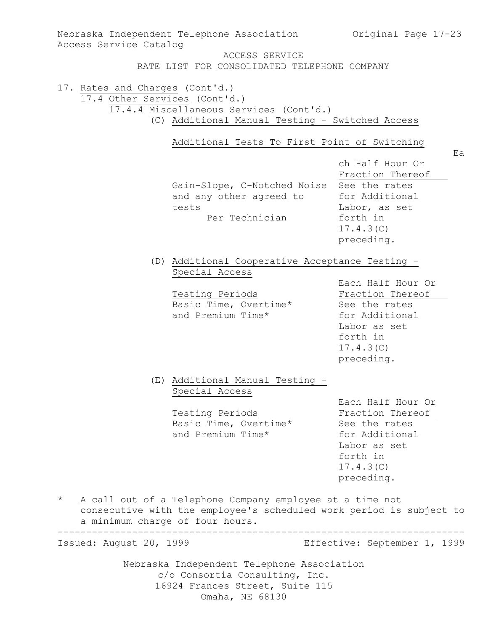| Access Service Catalog                                           | Nebraska Independent Telephone Association                                                                                                                         | Original Page 17-23                                                                                                             |
|------------------------------------------------------------------|--------------------------------------------------------------------------------------------------------------------------------------------------------------------|---------------------------------------------------------------------------------------------------------------------------------|
|                                                                  | ACCESS SERVICE<br>RATE LIST FOR CONSOLIDATED TELEPHONE COMPANY                                                                                                     |                                                                                                                                 |
| 17. Rates and Charges (Cont'd.)<br>17.4 Other Services (Cont'd.) | 17.4.4 Miscellaneous Services (Cont'd.)<br>(C) Additional Manual Testing - Switched Access                                                                         |                                                                                                                                 |
|                                                                  | Additional Tests To First Point of Switching<br>Gain-Slope, C-Notched Noise See the rates<br>and any other agreed to<br>tests<br>Per Technician                    | Ea<br>ch Half Hour Or<br>Fraction Thereof<br>for Additional<br>Labor, as set<br>forth in<br>17.4.3(C)<br>preceding.             |
|                                                                  | (D) Additional Cooperative Acceptance Testing -<br>Special Access<br>Testing Periods<br>Basic Time, Overtime*<br>and Premium Time*                                 | Each Half Hour Or<br>Fraction Thereof<br>See the rates<br>for Additional<br>Labor as set<br>forth in<br>17.4.3(C)<br>preceding. |
|                                                                  | (E) Additional Manual Testing -<br>Special Access<br>Testing Periods<br>Basic Time, Overtime*<br>and Premium Time*                                                 | Each Half Hour Or<br>Fraction Thereof<br>See the rates<br>for Additional<br>Labor as set<br>forth in<br>17.4.3(C)<br>preceding. |
| $^\star$                                                         | A call out of a Telephone Company employee at a time not<br>consecutive with the employee's scheduled work period is subject to<br>a minimum charge of four hours. |                                                                                                                                 |
| Issued: August 20, 1999                                          |                                                                                                                                                                    | Effective: September 1, 1999                                                                                                    |
|                                                                  | Nebraska Independent Telephone Association<br>c/o Consortia Consulting, Inc.                                                                                       |                                                                                                                                 |

16924 Frances Street, Suite 115 Omaha, NE 68130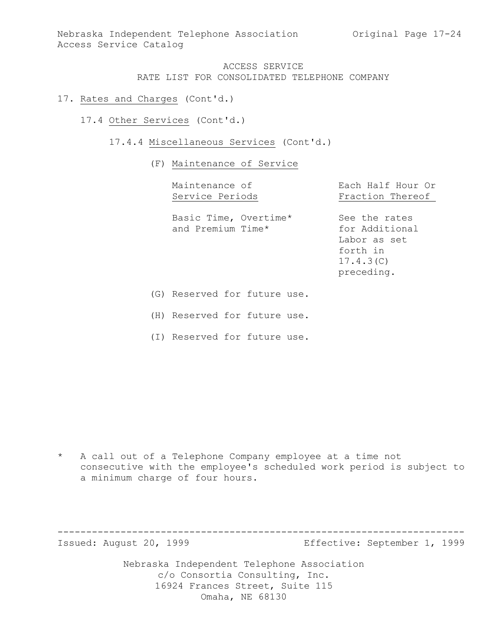- 17. Rates and Charges (Cont'd.)
	- 17.4 Other Services (Cont'd.)
		- 17.4.4 Miscellaneous Services (Cont'd.)
			- (F) Maintenance of Service

| Maintenance of<br>Service Periods                                                                              | Each Half Hour Or<br>Fraction Thereof                                                  |
|----------------------------------------------------------------------------------------------------------------|----------------------------------------------------------------------------------------|
| Basic Time, Overtime*<br>and Premium Time*                                                                     | See the rates<br>for Additional<br>Labor as set<br>forth in<br>17.4.3(C)<br>preceding. |
| De el 1100 - 1100 - 1100 - 1210 - 1210 - 1210 - 1210 - 1210 - 1210 - 1210 - 1210 - 1210 - 1210 - 1210 - 1210 - |                                                                                        |

(G) Reserved for future use.

(H) Reserved for future use.

(I) Reserved for future use.

\* A call out of a Telephone Company employee at a time not consecutive with the employee's scheduled work period is subject to a minimum charge of four hours.

----------------------------------------------------------------------- Effective: September 1, 1999